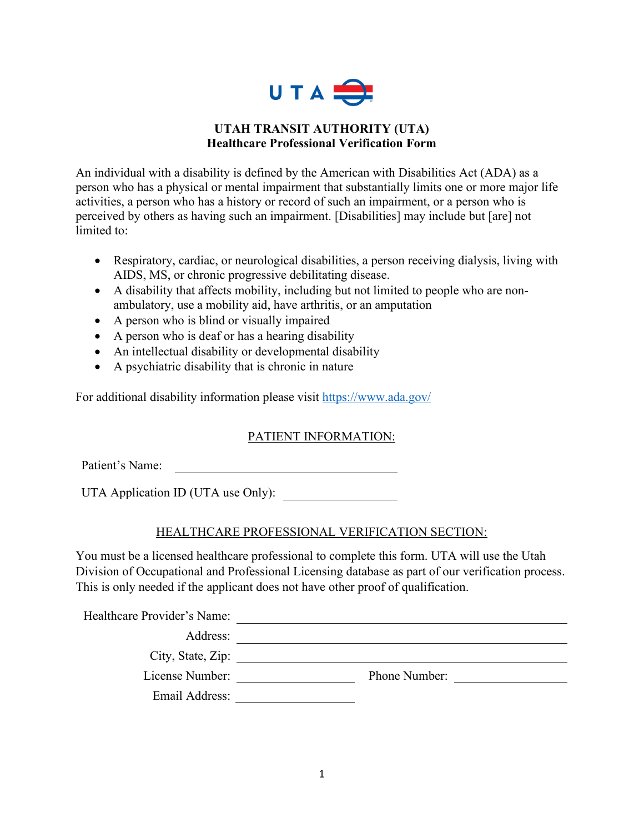

### **UTAH TRANSIT AUTHORITY (UTA) Healthcare Professional Verification Form**

An individual with a disability is defined by the American with Disabilities Act (ADA) as a person who has a physical or mental impairment that substantially limits one or more major life activities, a person who has a history or record of such an impairment, or a person who is perceived by others as having such an impairment. [Disabilities] may include but [are] not limited to:

- Respiratory, cardiac, or neurological disabilities, a person receiving dialysis, living with AIDS, MS, or chronic progressive debilitating disease.
- A disability that affects mobility, including but not limited to people who are nonambulatory, use a mobility aid, have arthritis, or an amputation
- A person who is blind or visually impaired
- A person who is deaf or has a hearing disability
- An intellectual disability or developmental disability
- A psychiatric disability that is chronic in nature

For additional disability information please visit<https://www.ada.gov/>

# PATIENT INFORMATION:

Patient's Name: <u> 1980 - Johann Barn, mars eta bainar eta bainar eta baina eta baina eta baina eta baina eta baina eta baina e</u>

UTA Application ID (UTA use Only):

# HEALTHCARE PROFESSIONAL VERIFICATION SECTION:

You must be a licensed healthcare professional to complete this form. UTA will use the Utah Division of Occupational and Professional Licensing database as part of our verification process. This is only needed if the applicant does not have other proof of qualification.

| Phone Number: |  |
|---------------|--|
|               |  |
|               |  |